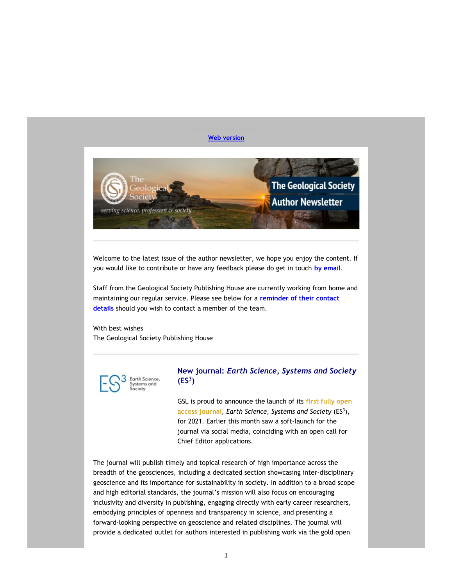#### Web version



Welcome to the latest issue of the author newsletter, we hope you enjoy the content. If you would like to contribute or have any feedback please do get in touch by email.

Staff from the Geological Society Publishing House are currently working from home and maintaining our regular service. Please see below for a reminder of their contact details should you wish to contact a member of the team.

With best wishes The Geological Society Publishing House



# New journal: Earth Science, Systems and Society  $(ES<sup>3</sup>)$

GSL is proud to announce the launch of its first fully open access journal, Earth Science, Systems and Society (ES<sup>3</sup>), for 2021. Earlier this month saw a soft-launch for the journal via social media, coinciding with an open call for Chief Editor applications.

The journal will publish timely and topical research of high importance across the breadth of the geosciences, including a dedicated section showcasing inter-disciplinary geoscience and its importance for sustainability in society. In addition to a broad scope and high editorial standards, the journal's mission will also focus on encouraging inclusivity and diversity in publishing, engaging directly with early career researchers, embodying principles of openness and transparency in science, and presenting a forward-looking perspective on geoscience and related disciplines. The journal will provide a dedicated outlet for authors interested in publishing work via the gold open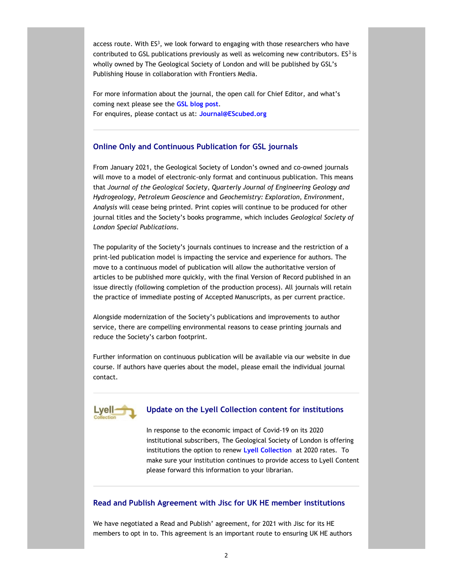access route. With  $ES<sup>3</sup>$ , we look forward to engaging with those researchers who have contributed to GSL publications previously as well as welcoming new contributors.  $ES<sup>3</sup>$  is wholly owned by The Geological Society of London and will be published by GSL's Publishing House in collaboration with Frontiers Media.

For more information about the journal, the open call for Chief Editor, and what's coming next please see the **GSL blog post**. For enquires, please contact us at: Journal@EScubed.org

## Online Only and Continuous Publication for GSL journals

From January 2021, the Geological Society of London's owned and co-owned journals will move to a model of electronic-only format and continuous publication. This means that Journal of the Geological Society, Quarterly Journal of Engineering Geology and Hydrogeology, Petroleum Geoscience and Geochemistry: Exploration, Environment, Analysis will cease being printed. Print copies will continue to be produced for other journal titles and the Society's books programme, which includes Geological Society of London Special Publications.

The popularity of the Society's journals continues to increase and the restriction of a print-led publication model is impacting the service and experience for authors. The move to a continuous model of publication will allow the authoritative version of articles to be published more quickly, with the final Version of Record published in an issue directly (following completion of the production process). All journals will retain the practice of immediate posting of Accepted Manuscripts, as per current practice.

Alongside modernization of the Society's publications and improvements to author service, there are compelling environmental reasons to cease printing journals and reduce the Society's carbon footprint.

Further information on continuous publication will be available via our website in due course. If authors have queries about the model, please email the individual journal contact.



#### Update on the Lyell Collection content for institutions

In response to the economic impact of Covid-19 on its 2020 institutional subscribers, The Geological Society of London is offering institutions the option to renew Lyell Collection at 2020 rates. To make sure your institution continues to provide access to Lyell Content please forward this information to your librarian.

## Read and Publish Agreement with Jisc for UK HE member institutions

We have negotiated a Read and Publish' agreement, for 2021 with Jisc for its HE members to opt in to. This agreement is an important route to ensuring UK HE authors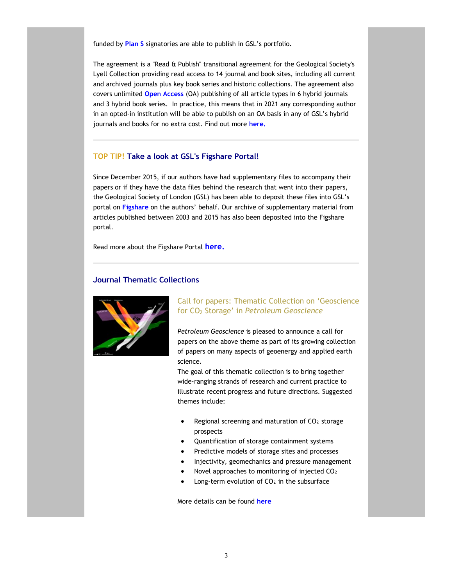funded by Plan S signatories are able to publish in GSL's portfolio.

The agreement is a "Read & Publish" transitional agreement for the Geological Society's Lyell Collection providing read access to 14 journal and book sites, including all current and archived journals plus key book series and historic collections. The agreement also covers unlimited Open Access (OA) publishing of all article types in 6 hybrid journals and 3 hybrid book series. In practice, this means that in 2021 any corresponding author in an opted-in institution will be able to publish on an OA basis in any of GSL's hybrid journals and books for no extra cost. Find out more here.

## TOP TIP! Take a look at GSL's Figshare Portal!

Since December 2015, if our authors have had supplementary files to accompany their papers or if they have the data files behind the research that went into their papers, the Geological Society of London (GSL) has been able to deposit these files into GSL's portal on Figshare on the authors' behalf. Our archive of supplementary material from articles published between 2003 and 2015 has also been deposited into the Figshare portal.

Read more about the Figshare Portal here.

## Journal Thematic Collections



# Call for papers: Thematic Collection on 'Geoscience for CO2 Storage' in Petroleum Geoscience

Petroleum Geoscience is pleased to announce a call for papers on the above theme as part of its growing collection of papers on many aspects of geoenergy and applied earth science.

The goal of this thematic collection is to bring together wide-ranging strands of research and current practice to illustrate recent progress and future directions. Suggested themes include:

- Regional screening and maturation of CO2 storage prospects
- Quantification of storage containment systems
- Predictive models of storage sites and processes
- Injectivity, geomechanics and pressure management
- Novel approaches to monitoring of injected CO₂
- Long-term evolution of  $CO<sub>2</sub>$  in the subsurface

More details can be found here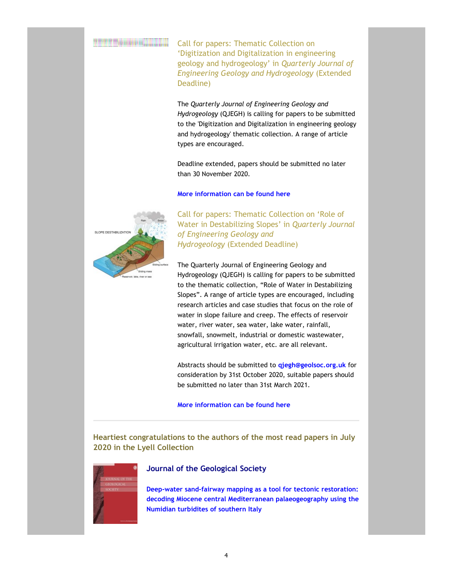Call for papers: Thematic Collection on 'Digitization and Digitalization in engineering geology and hydrogeology' in Quarterly Journal of Engineering Geology and Hydrogeology (Extended Deadline)

The Quarterly Journal of Engineering Geology and Hydrogeology (QJEGH) is calling for papers to be submitted to the 'Digitization and Digitalization in engineering geology and hydrogeology' thematic collection. A range of article types are encouraged.

Deadline extended, papers should be submitted no later than 30 November 2020.

#### More information can be found here



 Call for papers: Thematic Collection on 'Role of Water in Destabilizing Slopes' in Quarterly Journal of Engineering Geology and Hydrogeology (Extended Deadline)

The Quarterly Journal of Engineering Geology and Hydrogeology (QJEGH) is calling for papers to be submitted to the thematic collection, "Role of Water in Destabilizing Slopes". A range of article types are encouraged, including research articles and case studies that focus on the role of water in slope failure and creep. The effects of reservoir water, river water, sea water, lake water, rainfall, snowfall, snowmelt, industrial or domestic wastewater, agricultural irrigation water, etc. are all relevant.

Abstracts should be submitted to **qjegh@geolsoc.org.uk** for consideration by 31st October 2020, suitable papers should be submitted no later than 31st March 2021.

More information can be found here

Heartiest congratulations to the authors of the most read papers in July 2020 in the Lyell Collection



#### Journal of the Geological Society

Deep-water sand-fairway mapping as a tool for tectonic restoration: decoding Miocene central Mediterranean palaeogeography using the Numidian turbidites of southern Italy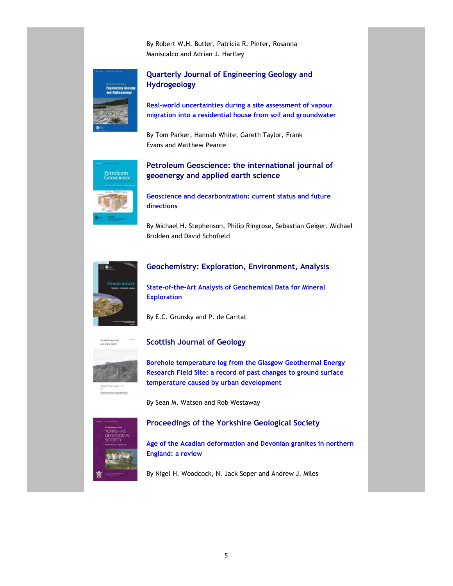By Robert W.H. Butler, Patricia R. Pinter, Rosanna Maniscalco and Adrian J. Hartley



 Quarterly Journal of Engineering Geology and Hydrogeology

Real-world uncertainties during a site assessment of vapour migration into a residential house from soil and groundwater

By Tom Parker, Hannah White, Gareth Taylor, Frank Evans and Matthew Pearce



# Petroleum Geoscience: the international journal of geoenergy and applied earth science

Geoscience and decarbonization: current status and future directions

By Michael H. Stephenson, Philip Ringrose, Sebastian Geiger, Michael Bridden and David Schofield



# Geochemistry: Exploration, Environment, Analysis

State-of-the-Art Analysis of Geochemical Data for Mineral **Exploration** 

By E.C. Grunsky and P. de Caritat



## Scottish Journal of Geology

Borehole temperature log from the Glasgow Geothermal Energy Research Field Site: a record of past changes to ground surface temperature caused by urban development

By Sean M. Watson and Rob Westaway



# Proceedings of the Yorkshire Geological Society

Age of the Acadian deformation and Devonian granites in northern England: a review

By Nigel H. Woodcock, N. Jack Soper and Andrew J. Miles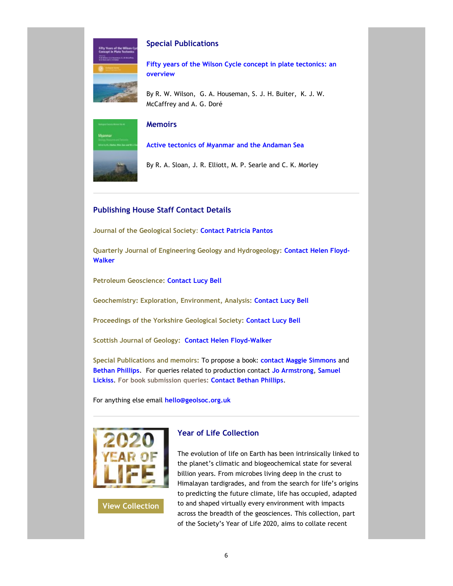

## Special Publications

Fifty years of the Wilson Cycle concept in plate tectonics: an overview

By R. W. Wilson, G. A. Houseman, S. J. H. Buiter, K. J. W. McCaffrey and A. G. Doré



## **Memoirs**

Active tectonics of Myanmar and the Andaman Sea

By R. A. Sloan, J. R. Elliott, M. P. Searle and C. K. Morley

# Publishing House Staff Contact Details

Journal of the Geological Society: Contact Patricia Pantos

Quarterly Journal of Engineering Geology and Hydrogeology: Contact Helen Floyd-Walker

Petroleum Geoscience: Contact Lucy Bell

Geochemistry: Exploration, Environment, Analysis: Contact Lucy Bell

Proceedings of the Yorkshire Geological Society: Contact Lucy Bell

Scottish Journal of Geology: Contact Helen Floyd-Walker

Special Publications and memoirs: To propose a book: contact Maggie Simmons and Bethan Phillips. For queries related to production contact Jo Armstrong, Samuel Lickiss. For book submission queries: Contact Bethan Phillips.

For anything else email hello@geolsoc.org.uk



View Collection

Year of Life Collection

The evolution of life on Earth has been intrinsically linked to the planet's climatic and biogeochemical state for several billion years. From microbes living deep in the crust to Himalayan tardigrades, and from the search for life's origins to predicting the future climate, life has occupied, adapted to and shaped virtually every environment with impacts across the breadth of the geosciences. This collection, part of the Society's Year of Life 2020, aims to collate recent